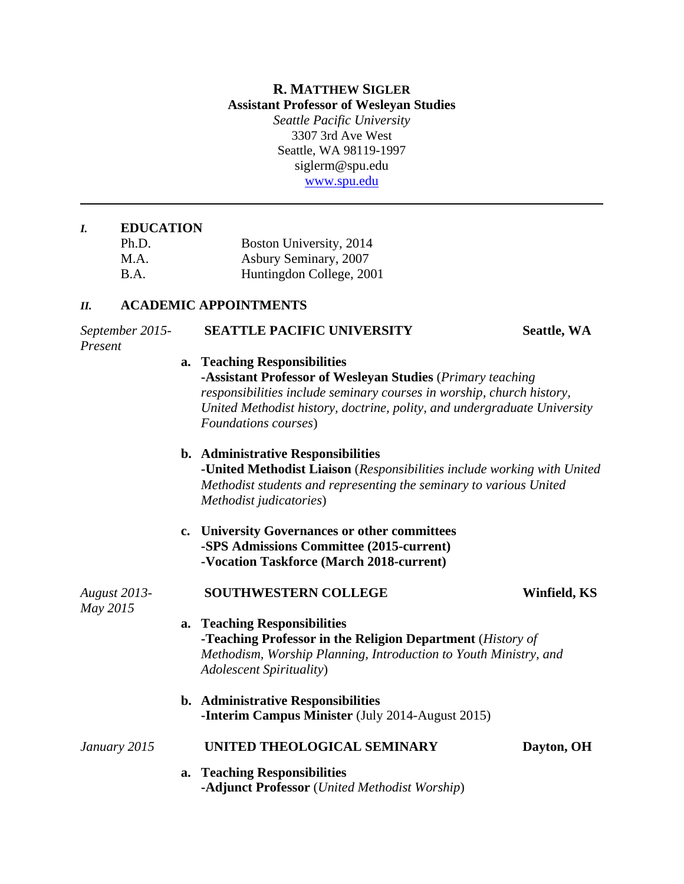# **R. MATTHEW SIGLER Assistant Professor of Wesleyan Studies**

*Seattle Pacific University* 3307 3rd Ave West Seattle, WA 98119-1997 siglerm@spu.edu [www.spu.edu](http://www.spu.edu/)

# *I.* **EDUCATION**

| Ph.D.       | Boston University, 2014  |
|-------------|--------------------------|
| M.A.        | Asbury Seminary, 2007    |
| <b>B.A.</b> | Huntingdon College, 2001 |

#### *II.* **ACADEMIC APPOINTMENTS**

# *September 2015-* **SEATTLE PACIFIC UNIVERSITY Seattle, WA** *Present* **a. Teaching Responsibilities -Assistant Professor of Wesleyan Studies** (*Primary teaching responsibilities include seminary courses in worship, church history, United Methodist history, doctrine, polity, and undergraduate University Foundations courses*) **b. Administrative Responsibilities -United Methodist Liaison** (*Responsibilities include working with United Methodist students and representing the seminary to various United Methodist judicatories*) **c. University Governances or other committees -SPS Admissions Committee (2015-current) -Vocation Taskforce (March 2018-current)** *August 2013-* **SOUTHWESTERN COLLEGE Winfield, KS** *May 2015* **a. Teaching Responsibilities -Teaching Professor in the Religion Department** (*History of Methodism, Worship Planning, Introduction to Youth Ministry, and Adolescent Spirituality*) **b. Administrative Responsibilities -Interim Campus Minister** (July 2014-August 2015)

# *January 2015* **UNITED THEOLOGICAL SEMINARY Dayton, OH**

**a. Teaching Responsibilities -Adjunct Professor** (*United Methodist Worship*)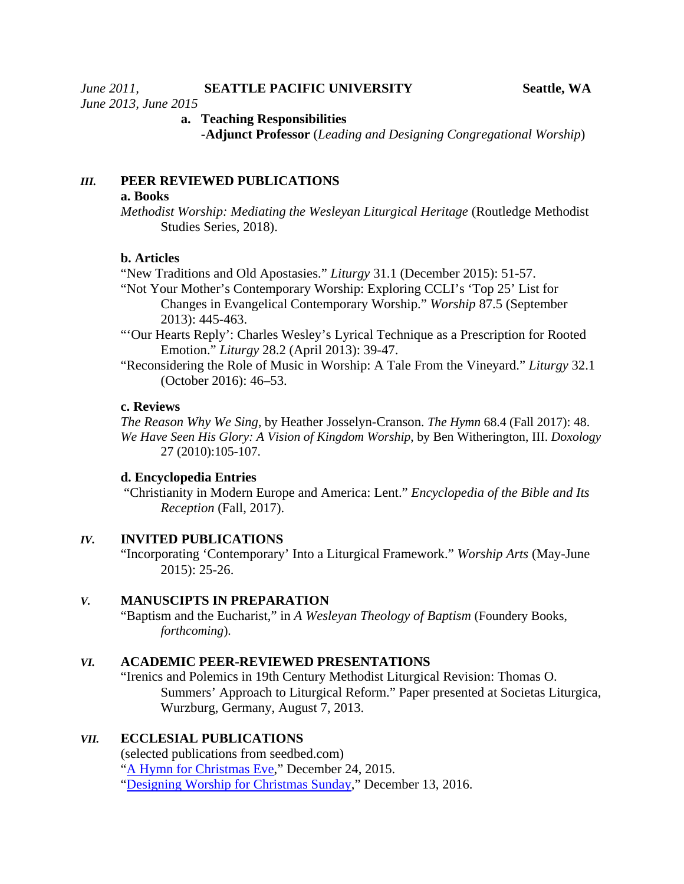*June 2013, June 2015*

# **a. Teaching Responsibilities**

**-Adjunct Professor** (*Leading and Designing Congregational Worship*)

# *III.* **PEER REVIEWED PUBLICATIONS**

#### **a. Books**

*Methodist Worship: Mediating the Wesleyan Liturgical Heritage* (Routledge Methodist Studies Series, 2018).

# **b. Articles**

"New Traditions and Old Apostasies." *Liturgy* 31.1 (December 2015): 51-57.

- "Not Your Mother's Contemporary Worship: Exploring CCLI's 'Top 25' List for Changes in Evangelical Contemporary Worship." *Worship* 87.5 (September 2013): 445-463.
- "'Our Hearts Reply': Charles Wesley's Lyrical Technique as a Prescription for Rooted Emotion." *Liturgy* 28.2 (April 2013): 39-47.
- "Reconsidering the Role of Music in Worship: A Tale From the Vineyard." *Liturgy* 32.1 (October 2016): 46–53.

# **c. Reviews**

*The Reason Why We Sing*, by Heather Josselyn-Cranson. *The Hymn* 68.4 (Fall 2017): 48. *We Have Seen His Glory: A Vision of Kingdom Worship*, by Ben Witherington, III. *Doxology* 27 (2010):105-107.

#### **d. Encyclopedia Entries**

"Christianity in Modern Europe and America: Lent." *Encyclopedia of the Bible and Its Reception* (Fall, 2017).

#### *IV.* **INVITED PUBLICATIONS**

"Incorporating 'Contemporary' Into a Liturgical Framework." *Worship Arts* (May-June 2015): 25-26.

# *V.* **MANUSCIPTS IN PREPARATION**

"Baptism and the Eucharist," in *A Wesleyan Theology of Baptism* (Foundery Books, *forthcoming*).

# *VI.* **ACADEMIC PEER-REVIEWED PRESENTATIONS**

"Irenics and Polemics in 19th Century Methodist Liturgical Revision: Thomas O. Summers' Approach to Liturgical Reform." Paper presented at Societas Liturgica, Wurzburg, Germany, August 7, 2013.

# *VII.* **ECCLESIAL PUBLICATIONS**

(selected publications from seedbed.com) ["A Hymn for Christmas Eve,](https://www.seedbed.com/hymn-christmas-eve/)" December 24, 2015. ["Designing Worship for Christmas Sunday,](https://www.seedbed.com/designing-worship-for-christmas-sunday/)" December 13, 2016.